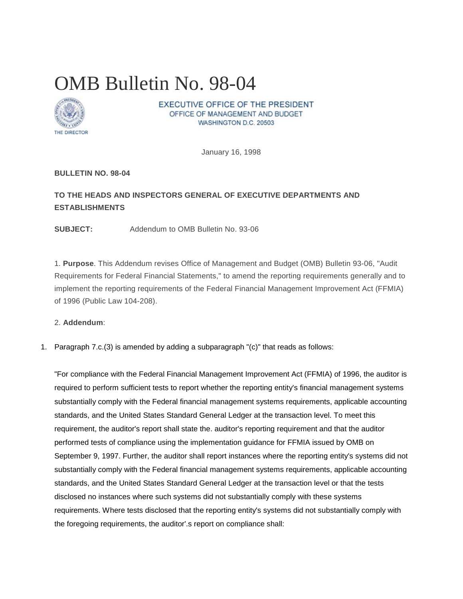# OMB Bulletin No. 98-04



EXECUTIVE OFFICE OF THE PRESIDENT OFFICE OF MANAGEMENT AND BUDGET WASHINGTON D.C. 20503

January 16, 1998

## **BULLETIN NO. 98-04**

# **TO THE HEADS AND INSPECTORS GENERAL OF EXECUTIVE DEPARTMENTS AND ESTABLISHMENTS**

**SUBJECT:** Addendum to OMB Bulletin No. 93-06

1. **Purpose**. This Addendum revises Office of Management and Budget (OMB) Bulletin 93-06, "Audit Requirements for Federal Financial Statements," to amend the reporting requirements generally and to implement the reporting requirements of the Federal Financial Management Improvement Act (FFMIA) of 1996 (Public Law 104-208).

#### 2. **Addendum**:

1. Paragraph 7.c.(3) is amended by adding a subparagraph "(c)" that reads as follows:

"For compliance with the Federal Financial Management Improvement Act (FFMIA) of 1996, the auditor is required to perform sufficient tests to report whether the reporting entity's financial management systems substantially comply with the Federal financial management systems requirements, applicable accounting standards, and the United States Standard General Ledger at the transaction level. To meet this requirement, the auditor's report shall state the. auditor's reporting requirement and that the auditor performed tests of compliance using the implementation guidance for FFMIA issued by OMB on September 9, 1997. Further, the auditor shall report instances where the reporting entity's systems did not substantially comply with the Federal financial management systems requirements, applicable accounting standards, and the United States Standard General Ledger at the transaction level or that the tests disclosed no instances where such systems did not substantially comply with these systems requirements. Where tests disclosed that the reporting entity's systems did not substantially comply with the foregoing requirements, the auditor'.s report on compliance shall: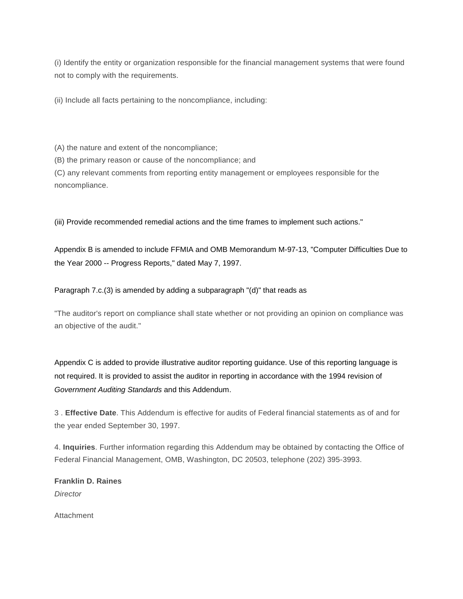(i) Identify the entity or organization responsible for the financial management systems that were found not to comply with the requirements.

(ii) Include all facts pertaining to the noncompliance, including:

(A) the nature and extent of the noncompliance;

(B) the primary reason or cause of the noncompliance; and

(C) any relevant comments from reporting entity management or employees responsible for the noncompliance.

(iii) Provide recommended remedial actions and the time frames to implement such actions."

Appendix B is amended to include FFMIA and OMB Memorandum M-97-13, "Computer Difficulties Due to the Year 2000 -- Progress Reports," dated May 7, 1997.

Paragraph 7.c.(3) is amended by adding a subparagraph "(d)" that reads as

"The auditor's report on compliance shall state whether or not providing an opinion on compliance was an objective of the audit."

Appendix C is added to provide illustrative auditor reporting guidance. Use of this reporting language is not required. It is provided to assist the auditor in reporting in accordance with the 1994 revision of *Government Auditing Standards* and this Addendum.

3 . **Effective Date**. This Addendum is effective for audits of Federal financial statements as of and for the year ended September 30, 1997.

4. **Inquiries**. Further information regarding this Addendum may be obtained by contacting the Office of Federal Financial Management, OMB, Washington, DC 20503, telephone (202) 395-3993.

**Franklin D. Raines** *Director*

Attachment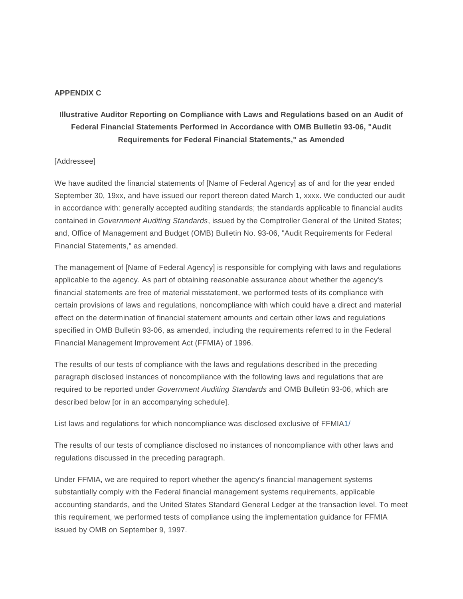## **APPENDIX C**

# **Illustrative Auditor Reporting on Compliance with Laws and Regulations based on an Audit of Federal Financial Statements Performed in Accordance with OMB Bulletin 93-06, "Audit Requirements for Federal Financial Statements," as Amended**

## [Addressee]

We have audited the financial statements of [Name of Federal Agency] as of and for the year ended September 30, 19xx, and have issued our report thereon dated March 1, xxxx. We conducted our audit in accordance with: generally accepted auditing standards; the standards applicable to financial audits contained in *Government Auditing Standards*, issued by the Comptroller General of the United States; and, Office of Management and Budget (OMB) Bulletin No. 93-06, "Audit Requirements for Federal Financial Statements," as amended.

The management of [Name of Federal Agency] is responsible for complying with laws and regulations applicable to the agency. As part of obtaining reasonable assurance about whether the agency's financial statements are free of material misstatement, we performed tests of its compliance with certain provisions of laws and regulations, noncompliance with which could have a direct and material effect on the determination of financial statement amounts and certain other laws and regulations specified in OMB Bulletin 93-06, as amended, including the requirements referred to in the Federal Financial Management Improvement Act (FFMIA) of 1996.

The results of our tests of compliance with the laws and regulations described in the preceding paragraph disclosed instances of noncompliance with the following laws and regulations that are required to be reported under *Government Auditing Standards* and OMB Bulletin 93-06, which are described below [or in an accompanying schedule].

List laws and regulations for which noncompliance was disclosed exclusive of FFMI[A1/](https://www.whitehouse.gov/omb/bulletins_b98-04#1)

The results of our tests of compliance disclosed no instances of noncompliance with other laws and regulations discussed in the preceding paragraph.

Under FFMIA, we are required to report whether the agency's financial management systems substantially comply with the Federal financial management systems requirements, applicable accounting standards, and the United States Standard General Ledger at the transaction level. To meet this requirement, we performed tests of compliance using the implementation guidance for FFMIA issued by OMB on September 9, 1997.